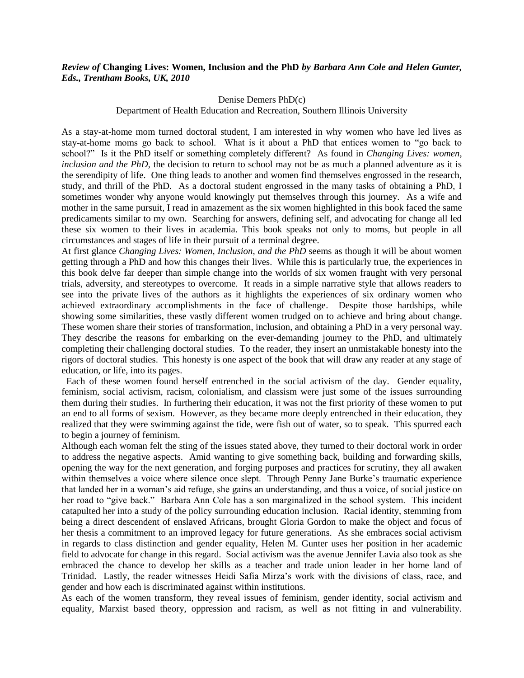## *Review of* **Changing Lives: Women, Inclusion and the PhD** *by Barbara Ann Cole and Helen Gunter, Eds., Trentham Books, UK, 2010*

## Denise Demers PhD(c)

## Department of Health Education and Recreation, Southern Illinois University

As a stay-at-home mom turned doctoral student, I am interested in why women who have led lives as stay-at-home moms go back to school. What is it about a PhD that entices women to "go back to school?" Is it the PhD itself or something completely different? As found in *Changing Lives: women, inclusion and the PhD*, the decision to return to school may not be as much a planned adventure as it is the serendipity of life. One thing leads to another and women find themselves engrossed in the research, study, and thrill of the PhD. As a doctoral student engrossed in the many tasks of obtaining a PhD, I sometimes wonder why anyone would knowingly put themselves through this journey. As a wife and mother in the same pursuit, I read in amazement as the six women highlighted in this book faced the same predicaments similar to my own. Searching for answers, defining self, and advocating for change all led these six women to their lives in academia. This book speaks not only to moms, but people in all circumstances and stages of life in their pursuit of a terminal degree.

At first glance *Changing Lives: Women, Inclusion, and the PhD* seems as though it will be about women getting through a PhD and how this changes their lives. While this is particularly true, the experiences in this book delve far deeper than simple change into the worlds of six women fraught with very personal trials, adversity, and stereotypes to overcome. It reads in a simple narrative style that allows readers to see into the private lives of the authors as it highlights the experiences of six ordinary women who achieved extraordinary accomplishments in the face of challenge. Despite those hardships, while showing some similarities, these vastly different women trudged on to achieve and bring about change. These women share their stories of transformation, inclusion, and obtaining a PhD in a very personal way. They describe the reasons for embarking on the ever-demanding journey to the PhD, and ultimately completing their challenging doctoral studies. To the reader, they insert an unmistakable honesty into the rigors of doctoral studies. This honesty is one aspect of the book that will draw any reader at any stage of education, or life, into its pages.

 Each of these women found herself entrenched in the social activism of the day. Gender equality, feminism, social activism, racism, colonialism, and classism were just some of the issues surrounding them during their studies. In furthering their education, it was not the first priority of these women to put an end to all forms of sexism. However, as they became more deeply entrenched in their education, they realized that they were swimming against the tide, were fish out of water, so to speak. This spurred each to begin a journey of feminism.

Although each woman felt the sting of the issues stated above, they turned to their doctoral work in order to address the negative aspects. Amid wanting to give something back, building and forwarding skills, opening the way for the next generation, and forging purposes and practices for scrutiny, they all awaken within themselves a voice where silence once slept. Through Penny Jane Burke's traumatic experience that landed her in a woman's aid refuge, she gains an understanding, and thus a voice, of social justice on her road to "give back." Barbara Ann Cole has a son marginalized in the school system. This incident catapulted her into a study of the policy surrounding education inclusion. Racial identity, stemming from being a direct descendent of enslaved Africans, brought Gloria Gordon to make the object and focus of her thesis a commitment to an improved legacy for future generations. As she embraces social activism in regards to class distinction and gender equality, Helen M. Gunter uses her position in her academic field to advocate for change in this regard. Social activism was the avenue Jennifer Lavia also took as she embraced the chance to develop her skills as a teacher and trade union leader in her home land of Trinidad. Lastly, the reader witnesses Heidi Safia Mirza's work with the divisions of class, race, and gender and how each is discriminated against within institutions.

As each of the women transform, they reveal issues of feminism, gender identity, social activism and equality, Marxist based theory, oppression and racism, as well as not fitting in and vulnerability.